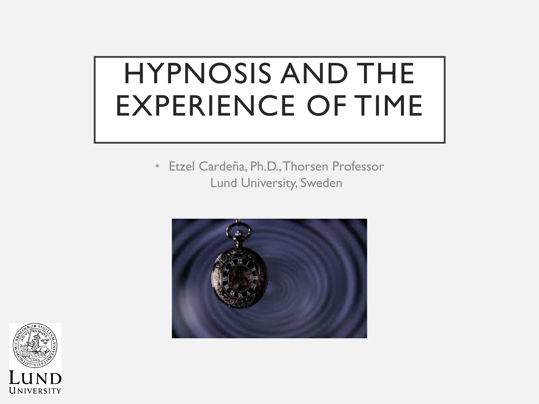# HYPNOSIS AND THE EXPERIENCE OF TIME

• Etzel Cardeña, Ph.D., Thorsen Professor Lund University, Sweden



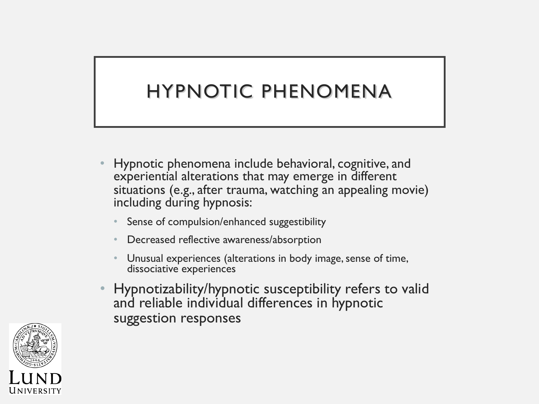### HYPNOTIC PHENOMENA

- Hypnotic phenomena include behavioral, cognitive, and experiential alterations that may emerge in different situations (e.g., after trauma, watching an appealing movie) including during hypnosis:
	- Sense of compulsion/enhanced suggestibility
	- Decreased reflective awareness/absorption
	- Unusual experiences (alterations in body image, sense of time, dissociative experiences
- Hypnotizability/hypnotic susceptibility refers to valid and reliable individual differences in hypnotic suggestion responses

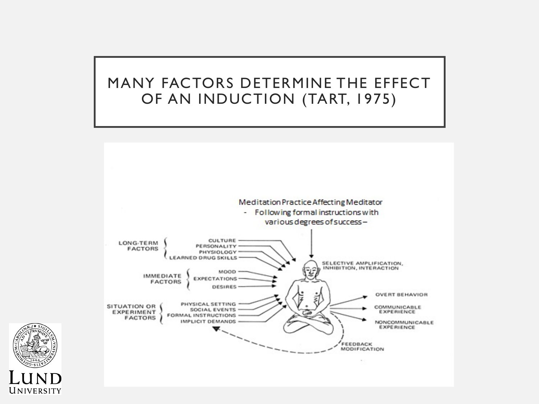#### MANY FACTORS DETERMINE THE EFFECT OF AN INDUCTION (TART, 1975)



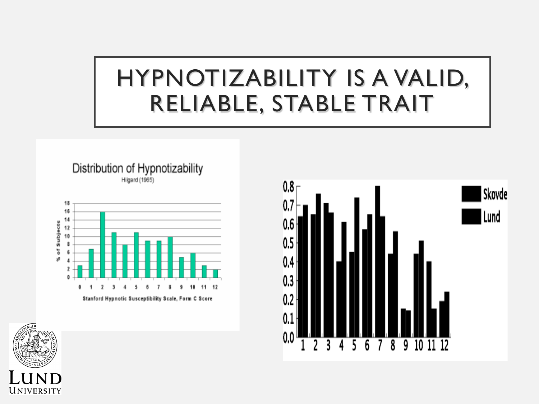# HYPNOTIZABILITY IS A VALID, RELIABLE, STABLE TRAIT







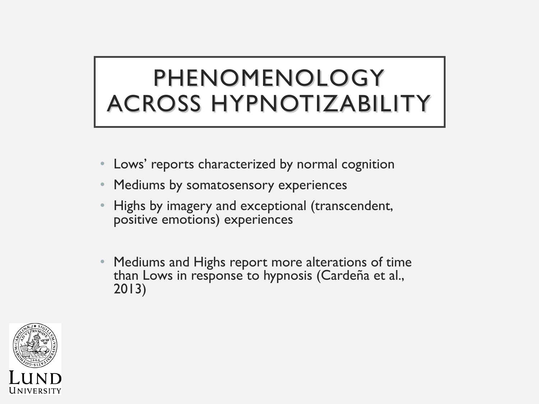# PHENOMENOLOGY ACROSS HYPNOTIZABILITY

- Lows' reports characterized by normal cognition
- Mediums by somatosensory experiences
- Highs by imagery and exceptional (transcendent, positive emotions) experiences
- Mediums and Highs report more alterations of time than Lows in response to hypnosis (Cardeña et al., 2013)

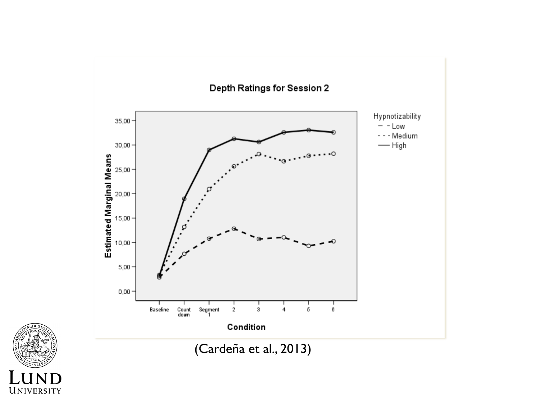

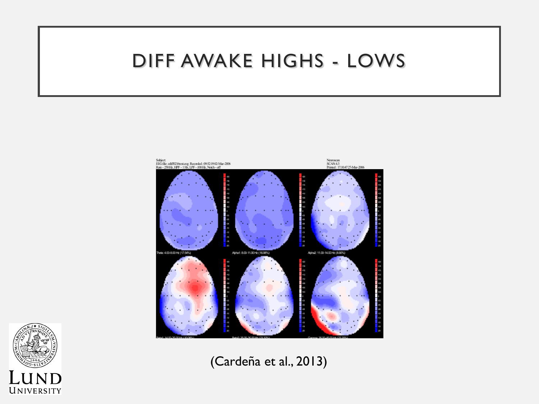#### DIFF AWAKE HIGHS - LOWS





(Cardeña et al., 2013)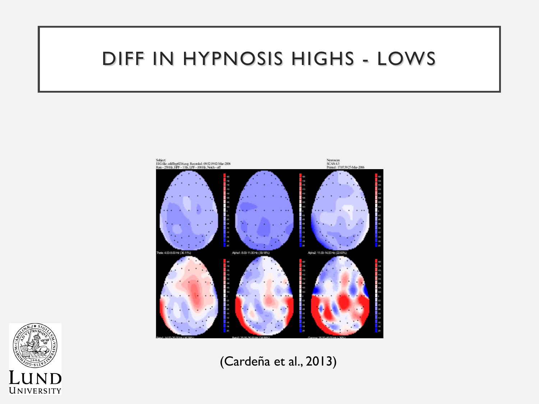#### DIFF IN HYPNOSIS HIGHS - LOWS





(Cardeña et al., 2013)